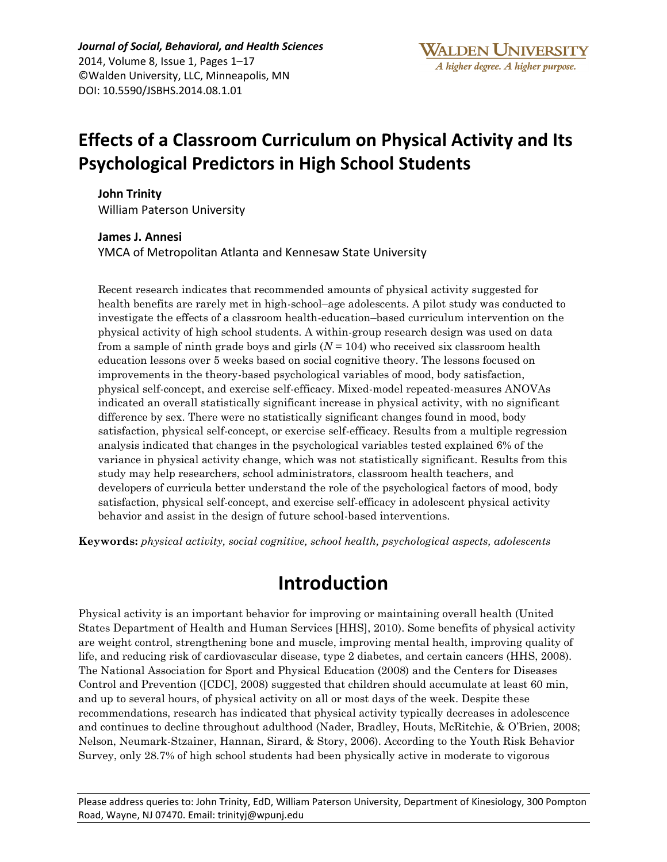*Journal of Social, Behavioral, and Health Sciences* 2014, Volume 8, Issue 1, Pages 1–17 ©Walden University, LLC, Minneapolis, MN DOI: 10.5590/JSBHS.2014.08.1.01

# **Effects of a Classroom Curriculum on Physical Activity and Its Psychological Predictors in High School Students**

**John Trinity**  William Paterson University

**James J. Annesi** YMCA of Metropolitan Atlanta and Kennesaw State University

Recent research indicates that recommended amounts of physical activity suggested for health benefits are rarely met in high-school–age adolescents. A pilot study was conducted to investigate the effects of a classroom health-education–based curriculum intervention on the physical activity of high school students. A within-group research design was used on data from a sample of ninth grade boys and girls  $(N = 104)$  who received six classroom health education lessons over 5 weeks based on social cognitive theory. The lessons focused on improvements in the theory-based psychological variables of mood, body satisfaction, physical self-concept, and exercise self-efficacy. Mixed-model repeated-measures ANOVAs indicated an overall statistically significant increase in physical activity, with no significant difference by sex. There were no statistically significant changes found in mood, body satisfaction, physical self-concept, or exercise self-efficacy. Results from a multiple regression analysis indicated that changes in the psychological variables tested explained 6% of the variance in physical activity change, which was not statistically significant. Results from this study may help researchers, school administrators, classroom health teachers, and developers of curricula better understand the role of the psychological factors of mood, body satisfaction, physical self-concept, and exercise self-efficacy in adolescent physical activity behavior and assist in the design of future school-based interventions.

**Keywords:** *physical activity, social cognitive, school health, psychological aspects, adolescents*

## **Introduction**

Physical activity is an important behavior for improving or maintaining overall health (United States Department of Health and Human Services [HHS], 2010). Some benefits of physical activity are weight control, strengthening bone and muscle, improving mental health, improving quality of life, and reducing risk of cardiovascular disease, type 2 diabetes, and certain cancers (HHS, 2008). The National Association for Sport and Physical Education (2008) and the Centers for Diseases Control and Prevention ([CDC], 2008) suggested that children should accumulate at least 60 min, and up to several hours, of physical activity on all or most days of the week. Despite these recommendations, research has indicated that physical activity typically decreases in adolescence and continues to decline throughout adulthood (Nader, Bradley, Houts, McRitchie, & O'Brien, 2008; Nelson, Neumark-Stzainer, Hannan, Sirard, & Story, 2006). According to the Youth Risk Behavior Survey, only 28.7% of high school students had been physically active in moderate to vigorous

Please address queries to: John Trinity, EdD, William Paterson University, Department of Kinesiology, 300 Pompton Road, Wayne, NJ 07470. Email: trinityj@wpunj.edu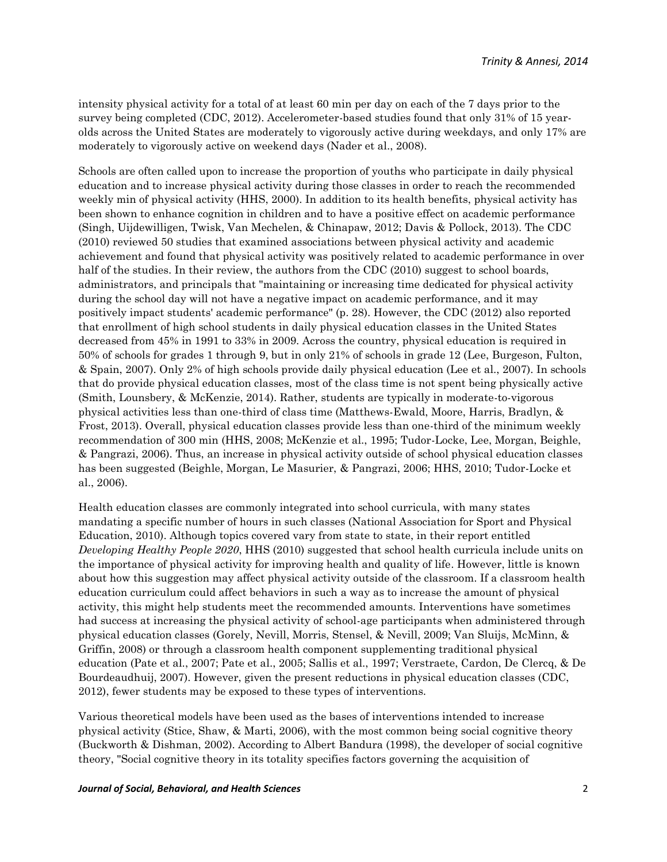intensity physical activity for a total of at least 60 min per day on each of the 7 days prior to the survey being completed (CDC, 2012). Accelerometer-based studies found that only 31% of 15 yearolds across the United States are moderately to vigorously active during weekdays, and only 17% are moderately to vigorously active on weekend days (Nader et al., 2008).

Schools are often called upon to increase the proportion of youths who participate in daily physical education and to increase physical activity during those classes in order to reach the recommended weekly min of physical activity (HHS, 2000). In addition to its health benefits, physical activity has been shown to enhance cognition in children and to have a positive effect on academic performance (Singh, Uijdewilligen, Twisk, Van Mechelen, & Chinapaw, 2012; Davis & Pollock, 2013). The CDC (2010) reviewed 50 studies that examined associations between physical activity and academic achievement and found that physical activity was positively related to academic performance in over half of the studies. In their review, the authors from the CDC (2010) suggest to school boards, administrators, and principals that "maintaining or increasing time dedicated for physical activity during the school day will not have a negative impact on academic performance, and it may positively impact students' academic performance" (p. 28). However, the CDC (2012) also reported that enrollment of high school students in daily physical education classes in the United States decreased from 45% in 1991 to 33% in 2009. Across the country, physical education is required in 50% of schools for grades 1 through 9, but in only 21% of schools in grade 12 (Lee, Burgeson, Fulton, & Spain, 2007). Only 2% of high schools provide daily physical education (Lee et al., 2007). In schools that do provide physical education classes, most of the class time is not spent being physically active (Smith, Lounsbery, & McKenzie, 2014). Rather, students are typically in moderate-to-vigorous physical activities less than one-third of class time (Matthews-Ewald, Moore, Harris, Bradlyn, & Frost, 2013). Overall, physical education classes provide less than one-third of the minimum weekly recommendation of 300 min (HHS, 2008; McKenzie et al., 1995; Tudor-Locke, Lee, Morgan, Beighle, & Pangrazi, 2006). Thus, an increase in physical activity outside of school physical education classes has been suggested (Beighle, Morgan, Le Masurier, & Pangrazi, 2006; HHS, 2010; Tudor-Locke et al., 2006).

Health education classes are commonly integrated into school curricula, with many states mandating a specific number of hours in such classes (National Association for Sport and Physical Education, 2010). Although topics covered vary from state to state, in their report entitled *Developing Healthy People 2020*, HHS (2010) suggested that school health curricula include units on the importance of physical activity for improving health and quality of life. However, little is known about how this suggestion may affect physical activity outside of the classroom. If a classroom health education curriculum could affect behaviors in such a way as to increase the amount of physical activity, this might help students meet the recommended amounts. Interventions have sometimes had success at increasing the physical activity of school-age participants when administered through physical education classes (Gorely, Nevill, Morris, Stensel, & Nevill, 2009; Van Sluijs, McMinn, & Griffin, 2008) or through a classroom health component supplementing traditional physical education (Pate et al., 2007; Pate et al., 2005; Sallis et al., 1997; Verstraete, Cardon, De Clercq, & De Bourdeaudhuij, 2007). However, given the present reductions in physical education classes (CDC, 2012), fewer students may be exposed to these types of interventions.

Various theoretical models have been used as the bases of interventions intended to increase physical activity (Stice, Shaw, & Marti, 2006), with the most common being social cognitive theory (Buckworth & Dishman, 2002). According to Albert Bandura (1998), the developer of social cognitive theory, "Social cognitive theory in its totality specifies factors governing the acquisition of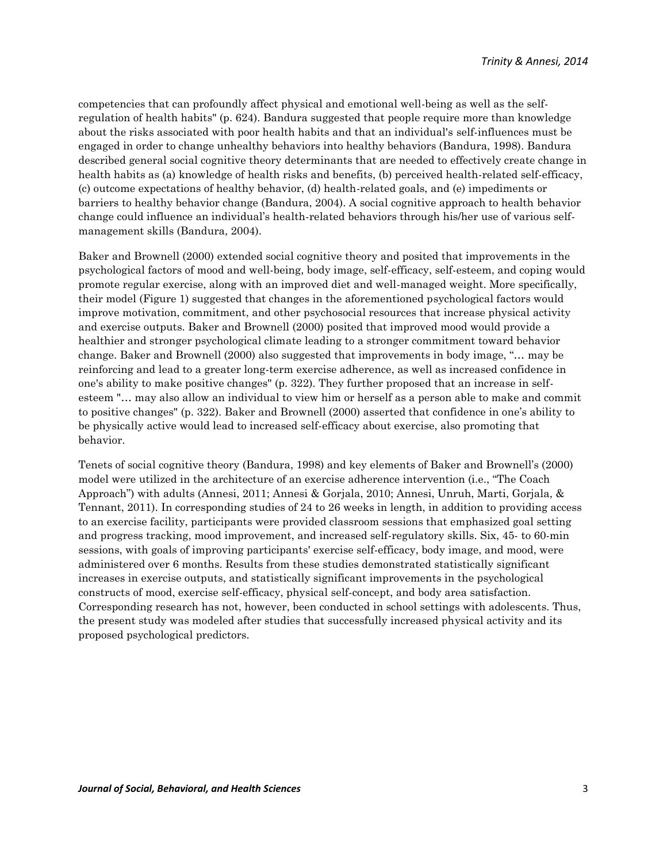competencies that can profoundly affect physical and emotional well-being as well as the selfregulation of health habits" (p. 624). Bandura suggested that people require more than knowledge about the risks associated with poor health habits and that an individual's self-influences must be engaged in order to change unhealthy behaviors into healthy behaviors (Bandura, 1998). Bandura described general social cognitive theory determinants that are needed to effectively create change in health habits as (a) knowledge of health risks and benefits, (b) perceived health-related self-efficacy, (c) outcome expectations of healthy behavior, (d) health-related goals, and (e) impediments or barriers to healthy behavior change (Bandura, 2004). A social cognitive approach to health behavior change could influence an individual's health-related behaviors through his/her use of various selfmanagement skills (Bandura, 2004).

Baker and Brownell (2000) extended social cognitive theory and posited that improvements in the psychological factors of mood and well-being, body image, self-efficacy, self-esteem, and coping would promote regular exercise, along with an improved diet and well-managed weight. More specifically, their model (Figure 1) suggested that changes in the aforementioned psychological factors would improve motivation, commitment, and other psychosocial resources that increase physical activity and exercise outputs. Baker and Brownell (2000) posited that improved mood would provide a healthier and stronger psychological climate leading to a stronger commitment toward behavior change. Baker and Brownell (2000) also suggested that improvements in body image, "… may be reinforcing and lead to a greater long-term exercise adherence, as well as increased confidence in one's ability to make positive changes" (p. 322). They further proposed that an increase in selfesteem "… may also allow an individual to view him or herself as a person able to make and commit to positive changes" (p. 322). Baker and Brownell (2000) asserted that confidence in one's ability to be physically active would lead to increased self-efficacy about exercise, also promoting that behavior.

Tenets of social cognitive theory (Bandura, 1998) and key elements of Baker and Brownell's (2000) model were utilized in the architecture of an exercise adherence intervention (i.e., "The Coach Approach") with adults (Annesi, 2011; Annesi & Gorjala, 2010; Annesi, Unruh, Marti, Gorjala, & Tennant, 2011). In corresponding studies of 24 to 26 weeks in length, in addition to providing access to an exercise facility, participants were provided classroom sessions that emphasized goal setting and progress tracking, mood improvement, and increased self-regulatory skills. Six, 45- to 60-min sessions, with goals of improving participants' exercise self-efficacy, body image, and mood, were administered over 6 months. Results from these studies demonstrated statistically significant increases in exercise outputs, and statistically significant improvements in the psychological constructs of mood, exercise self-efficacy, physical self-concept, and body area satisfaction. Corresponding research has not, however, been conducted in school settings with adolescents. Thus, the present study was modeled after studies that successfully increased physical activity and its proposed psychological predictors.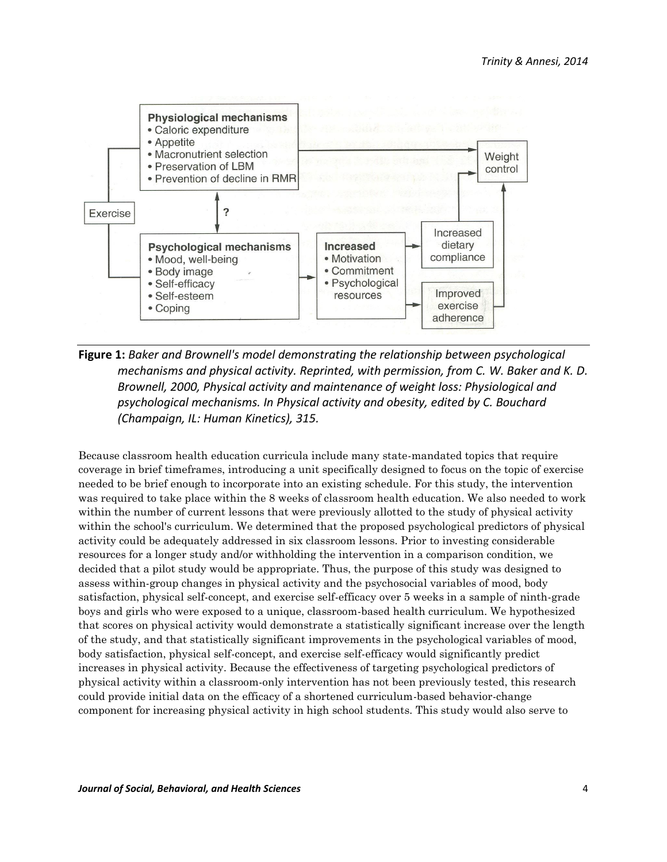

**Figure 1:** *Baker and Brownell's model demonstrating the relationship between psychological mechanisms and physical activity. Reprinted, with permission, from C. W. Baker and K. D. Brownell, 2000, Physical activity and maintenance of weight loss: Physiological and psychological mechanisms. In Physical activity and obesity, edited by C. Bouchard (Champaign, IL: Human Kinetics), 315.*

Because classroom health education curricula include many state-mandated topics that require coverage in brief timeframes, introducing a unit specifically designed to focus on the topic of exercise needed to be brief enough to incorporate into an existing schedule. For this study, the intervention was required to take place within the 8 weeks of classroom health education. We also needed to work within the number of current lessons that were previously allotted to the study of physical activity within the school's curriculum. We determined that the proposed psychological predictors of physical activity could be adequately addressed in six classroom lessons. Prior to investing considerable resources for a longer study and/or withholding the intervention in a comparison condition, we decided that a pilot study would be appropriate. Thus, the purpose of this study was designed to assess within-group changes in physical activity and the psychosocial variables of mood, body satisfaction, physical self-concept, and exercise self-efficacy over 5 weeks in a sample of ninth-grade boys and girls who were exposed to a unique, classroom-based health curriculum. We hypothesized that scores on physical activity would demonstrate a statistically significant increase over the length of the study, and that statistically significant improvements in the psychological variables of mood, body satisfaction, physical self-concept, and exercise self-efficacy would significantly predict increases in physical activity. Because the effectiveness of targeting psychological predictors of physical activity within a classroom-only intervention has not been previously tested, this research could provide initial data on the efficacy of a shortened curriculum-based behavior-change component for increasing physical activity in high school students. This study would also serve to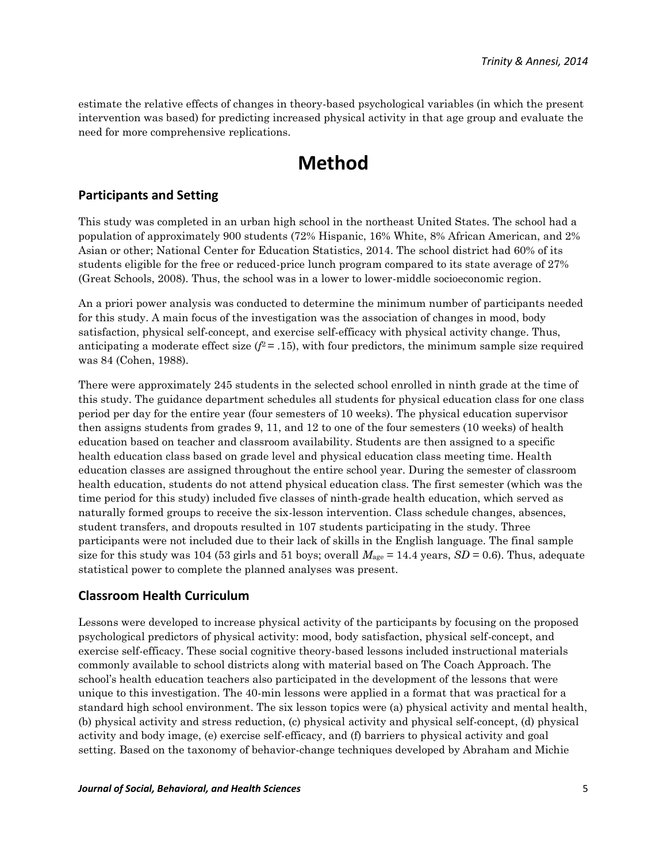estimate the relative effects of changes in theory-based psychological variables (in which the present intervention was based) for predicting increased physical activity in that age group and evaluate the need for more comprehensive replications.

## **Method**

### **Participants and Setting**

This study was completed in an urban high school in the northeast United States. The school had a population of approximately 900 students (72% Hispanic, 16% White, 8% African American, and 2% Asian or other; National Center for Education Statistics, 2014. The school district had 60% of its students eligible for the free or reduced-price lunch program compared to its state average of 27% (Great Schools, 2008). Thus, the school was in a lower to lower-middle socioeconomic region.

An a priori power analysis was conducted to determine the minimum number of participants needed for this study. A main focus of the investigation was the association of changes in mood, body satisfaction, physical self-concept, and exercise self-efficacy with physical activity change. Thus, anticipating a moderate effect size  $(f^2 = .15)$ , with four predictors, the minimum sample size required was 84 (Cohen, 1988).

There were approximately 245 students in the selected school enrolled in ninth grade at the time of this study. The guidance department schedules all students for physical education class for one class period per day for the entire year (four semesters of 10 weeks). The physical education supervisor then assigns students from grades 9, 11, and 12 to one of the four semesters (10 weeks) of health education based on teacher and classroom availability. Students are then assigned to a specific health education class based on grade level and physical education class meeting time. Health education classes are assigned throughout the entire school year. During the semester of classroom health education, students do not attend physical education class. The first semester (which was the time period for this study) included five classes of ninth-grade health education, which served as naturally formed groups to receive the six-lesson intervention. Class schedule changes, absences, student transfers, and dropouts resulted in 107 students participating in the study. Three participants were not included due to their lack of skills in the English language. The final sample size for this study was 104 (53 girls and 51 boys; overall  $M_{\text{age}} = 14.4$  years,  $SD = 0.6$ ). Thus, adequate statistical power to complete the planned analyses was present.

### **Classroom Health Curriculum**

Lessons were developed to increase physical activity of the participants by focusing on the proposed psychological predictors of physical activity: mood, body satisfaction, physical self-concept, and exercise self-efficacy. These social cognitive theory-based lessons included instructional materials commonly available to school districts along with material based on The Coach Approach. The school's health education teachers also participated in the development of the lessons that were unique to this investigation. The 40-min lessons were applied in a format that was practical for a standard high school environment. The six lesson topics were (a) physical activity and mental health, (b) physical activity and stress reduction, (c) physical activity and physical self-concept, (d) physical activity and body image, (e) exercise self-efficacy, and (f) barriers to physical activity and goal setting. Based on the taxonomy of behavior-change techniques developed by Abraham and Michie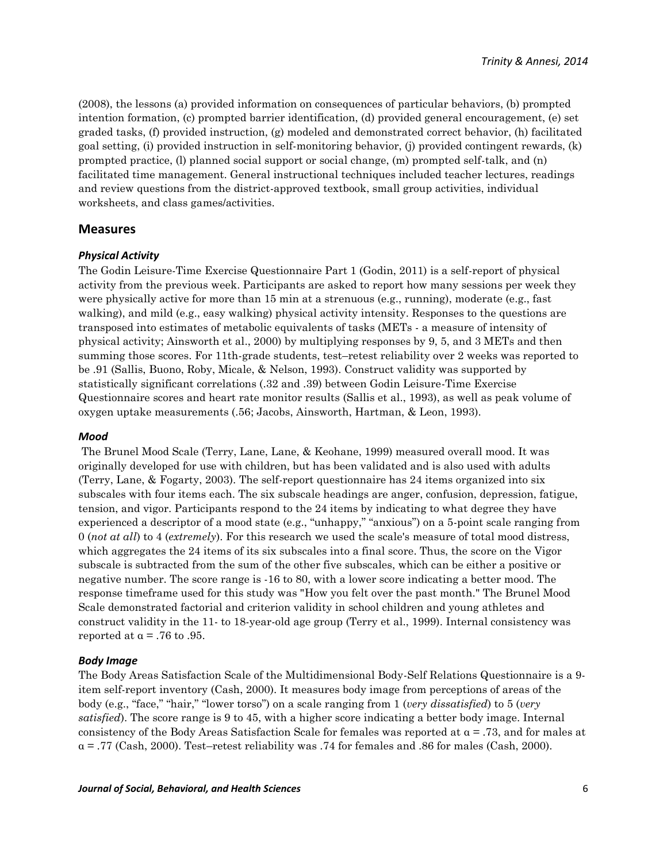(2008), the lessons (a) provided information on consequences of particular behaviors, (b) prompted intention formation, (c) prompted barrier identification, (d) provided general encouragement, (e) set graded tasks, (f) provided instruction, (g) modeled and demonstrated correct behavior, (h) facilitated goal setting, (i) provided instruction in self-monitoring behavior, (j) provided contingent rewards, (k) prompted practice, (l) planned social support or social change, (m) prompted self-talk, and (n) facilitated time management. General instructional techniques included teacher lectures, readings and review questions from the district-approved textbook, small group activities, individual worksheets, and class games/activities.

#### **Measures**

#### *Physical Activity*

The Godin Leisure-Time Exercise Questionnaire Part 1 (Godin, 2011) is a self-report of physical activity from the previous week. Participants are asked to report how many sessions per week they were physically active for more than 15 min at a strenuous (e.g., running), moderate (e.g., fast walking), and mild (e.g., easy walking) physical activity intensity. Responses to the questions are transposed into estimates of metabolic equivalents of tasks (METs - a measure of intensity of physical activity; Ainsworth et al., 2000) by multiplying responses by 9, 5, and 3 METs and then summing those scores. For 11th-grade students, test–retest reliability over 2 weeks was reported to be .91 (Sallis, Buono, Roby, Micale, & Nelson, 1993). Construct validity was supported by statistically significant correlations (.32 and .39) between Godin Leisure-Time Exercise Questionnaire scores and heart rate monitor results (Sallis et al., 1993), as well as peak volume of oxygen uptake measurements (.56; Jacobs, Ainsworth, Hartman, & Leon, 1993).

#### *Mood*

The Brunel Mood Scale (Terry, Lane, Lane, & Keohane, 1999) measured overall mood. It was originally developed for use with children, but has been validated and is also used with adults (Terry, Lane, & Fogarty, 2003). The self-report questionnaire has 24 items organized into six subscales with four items each. The six subscale headings are anger, confusion, depression, fatigue, tension, and vigor. Participants respond to the 24 items by indicating to what degree they have experienced a descriptor of a mood state (e.g., "unhappy," "anxious") on a 5-point scale ranging from 0 (*not at all*) to 4 (*extremely*). For this research we used the scale's measure of total mood distress, which aggregates the 24 items of its six subscales into a final score. Thus, the score on the Vigor subscale is subtracted from the sum of the other five subscales, which can be either a positive or negative number. The score range is -16 to 80, with a lower score indicating a better mood. The response timeframe used for this study was "How you felt over the past month." The Brunel Mood Scale demonstrated factorial and criterion validity in school children and young athletes and construct validity in the 11- to 18-year-old age group (Terry et al., 1999). Internal consistency was reported at  $\alpha$  = .76 to .95.

#### *Body Image*

The Body Areas Satisfaction Scale of the Multidimensional Body-Self Relations Questionnaire is a 9 item self-report inventory (Cash, 2000). It measures body image from perceptions of areas of the body (e.g., "face," "hair," "lower torso") on a scale ranging from 1 (*very dissatisfied*) to 5 (*very satisfied*). The score range is 9 to 45, with a higher score indicating a better body image. Internal consistency of the Body Areas Satisfaction Scale for females was reported at  $\alpha$  = .73, and for males at  $\alpha$  = .77 (Cash, 2000). Test–retest reliability was .74 for females and .86 for males (Cash, 2000).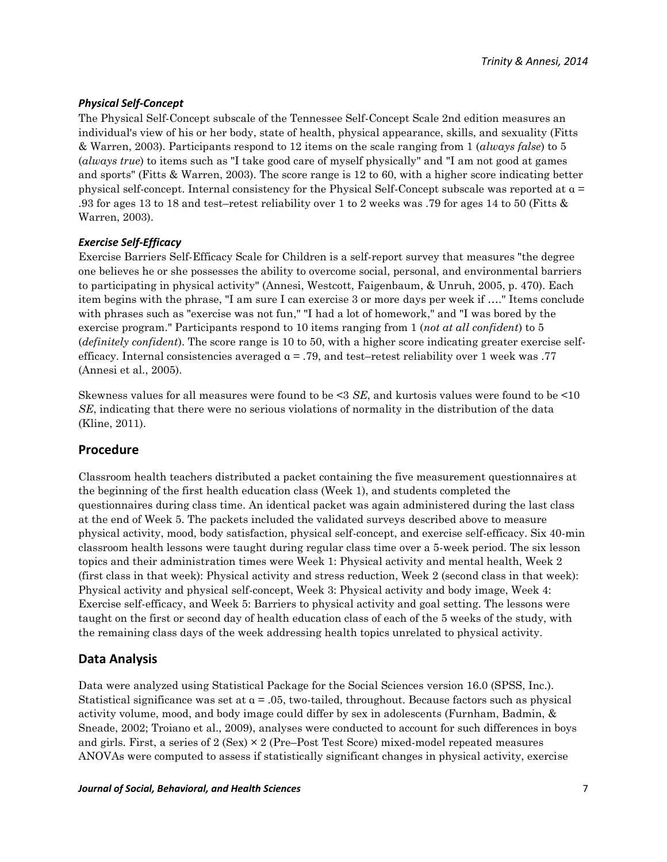#### *Physical Self-Concept*

The Physical Self-Concept subscale of the Tennessee Self-Concept Scale 2nd edition measures an individual's view of his or her body, state of health, physical appearance, skills, and sexuality (Fitts & Warren, 2003). Participants respond to 12 items on the scale ranging from 1 (*always false*) to 5 (*always true*) to items such as "I take good care of myself physically" and "I am not good at games and sports" (Fitts & Warren, 2003). The score range is 12 to 60, with a higher score indicating better physical self-concept. Internal consistency for the Physical Self-Concept subscale was reported at α = .93 for ages 13 to 18 and test–retest reliability over 1 to 2 weeks was .79 for ages 14 to 50 (Fitts & Warren, 2003).

#### *Exercise Self-Efficacy*

Exercise Barriers Self-Efficacy Scale for Children is a self-report survey that measures "the degree one believes he or she possesses the ability to overcome social, personal, and environmental barriers to participating in physical activity" (Annesi, Westcott, Faigenbaum, & Unruh, 2005, p. 470). Each item begins with the phrase, "I am sure I can exercise 3 or more days per week if …." Items conclude with phrases such as "exercise was not fun," "I had a lot of homework," and "I was bored by the exercise program." Participants respond to 10 items ranging from 1 (*not at all confident*) to 5 (*definitely confident*). The score range is 10 to 50, with a higher score indicating greater exercise selfefficacy. Internal consistencies averaged  $\alpha = .79$ , and test–retest reliability over 1 week was .77 (Annesi et al., 2005).

Skewness values for all measures were found to be <3 *SE*, and kurtosis values were found to be <10 *SE*, indicating that there were no serious violations of normality in the distribution of the data (Kline, 2011).

#### **Procedure**

Classroom health teachers distributed a packet containing the five measurement questionnaires at the beginning of the first health education class (Week 1), and students completed the questionnaires during class time. An identical packet was again administered during the last class at the end of Week 5. The packets included the validated surveys described above to measure physical activity, mood, body satisfaction, physical self-concept, and exercise self-efficacy. Six 40-min classroom health lessons were taught during regular class time over a 5-week period. The six lesson topics and their administration times were Week 1: Physical activity and mental health, Week 2 (first class in that week): Physical activity and stress reduction, Week 2 (second class in that week): Physical activity and physical self-concept, Week 3: Physical activity and body image, Week 4: Exercise self-efficacy, and Week 5: Barriers to physical activity and goal setting. The lessons were taught on the first or second day of health education class of each of the 5 weeks of the study, with the remaining class days of the week addressing health topics unrelated to physical activity.

### **Data Analysis**

Data were analyzed using Statistical Package for the Social Sciences version 16.0 (SPSS, Inc.). Statistical significance was set at  $\alpha = 0.05$ , two-tailed, throughout. Because factors such as physical activity volume, mood, and body image could differ by sex in adolescents (Furnham, Badmin, & Sneade, 2002; Troiano et al., 2009), analyses were conducted to account for such differences in boys and girls. First, a series of  $2$  (Sex)  $\times$  2 (Pre–Post Test Score) mixed-model repeated measures ANOVAs were computed to assess if statistically significant changes in physical activity, exercise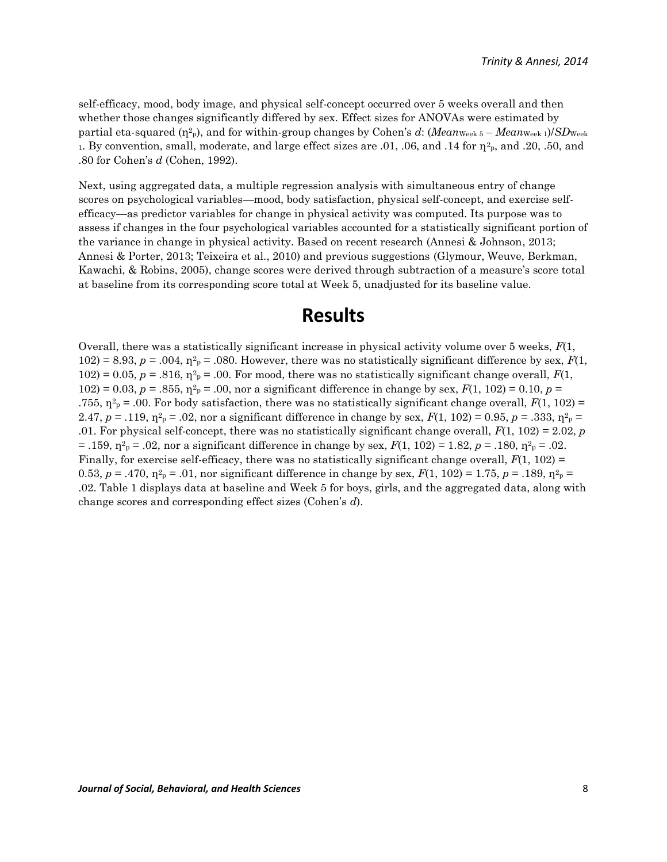self-efficacy, mood, body image, and physical self-concept occurred over 5 weeks overall and then whether those changes significantly differed by sex. Effect sizes for ANOVAs were estimated by partial eta-squared (η<sup>2</sup> <sup>p</sup>), and for within-group changes by Cohen's *d*: (*Mean*Week 5 – *Mean*Week 1)/*SD*Week 1. By convention, small, moderate, and large effect sizes are  $.01, .06$ , and  $.14$  for  $\eta^2$ <sub>p</sub>, and  $.20, .50$ , and .80 for Cohen's *d* (Cohen, 1992).

Next, using aggregated data, a multiple regression analysis with simultaneous entry of change scores on psychological variables—mood, body satisfaction, physical self-concept, and exercise selfefficacy—as predictor variables for change in physical activity was computed. Its purpose was to assess if changes in the four psychological variables accounted for a statistically significant portion of the variance in change in physical activity. Based on recent research (Annesi & Johnson, 2013; Annesi & Porter, 2013; Teixeira et al., 2010) and previous suggestions (Glymour, Weuve, Berkman, Kawachi, & Robins, 2005), change scores were derived through subtraction of a measure's score total at baseline from its corresponding score total at Week 5, unadjusted for its baseline value.

### **Results**

Overall, there was a statistically significant increase in physical activity volume over 5 weeks, *F*(1,  $102$ ) = 8.93,  $p = .004$ ,  $\eta^2$ <sub>p</sub> = .080. However, there was no statistically significant difference by sex,  $F(1)$ ,  $102$ ) = 0.05,  $p = .816$ ,  $\eta^2$ <sub>p</sub> = .00. For mood, there was no statistically significant change overall,  $F(1)$ ,  $102$ ) = 0.03, *p* = .855,  $\eta^2$ <sub>*p*</sub> = .00, nor a significant difference in change by sex, *F*(1, 102) = 0.10, *p* = .755,  $\eta^2 P = 0.00$ . For body satisfaction, there was no statistically significant change overall,  $F(1, 102) =$ 2.47,  $p = .119$ ,  $\eta^2 p = .02$ , nor a significant difference in change by sex,  $F(1, 102) = 0.95$ ,  $p = .333$ ,  $\eta^2 p =$ .01. For physical self-concept, there was no statistically significant change overall, *F*(1, 102) = 2.02, *p*  $= .159$ ,  $\eta^2{}_{p} = .02$ , nor a significant difference in change by sex,  $F(1, 102) = 1.82$ ,  $p = .180$ ,  $\eta^2{}_{p} = .02$ . Finally, for exercise self-efficacy, there was no statistically significant change overall, *F*(1, 102) = 0.53,  $p = .470$ ,  $\eta^{2}P = .01$ , nor significant difference in change by sex,  $F(1, 102) = 1.75$ ,  $p = .189$ ,  $\eta^{2}P =$ .02. Table 1 displays data at baseline and Week 5 for boys, girls, and the aggregated data, along with change scores and corresponding effect sizes (Cohen's *d*).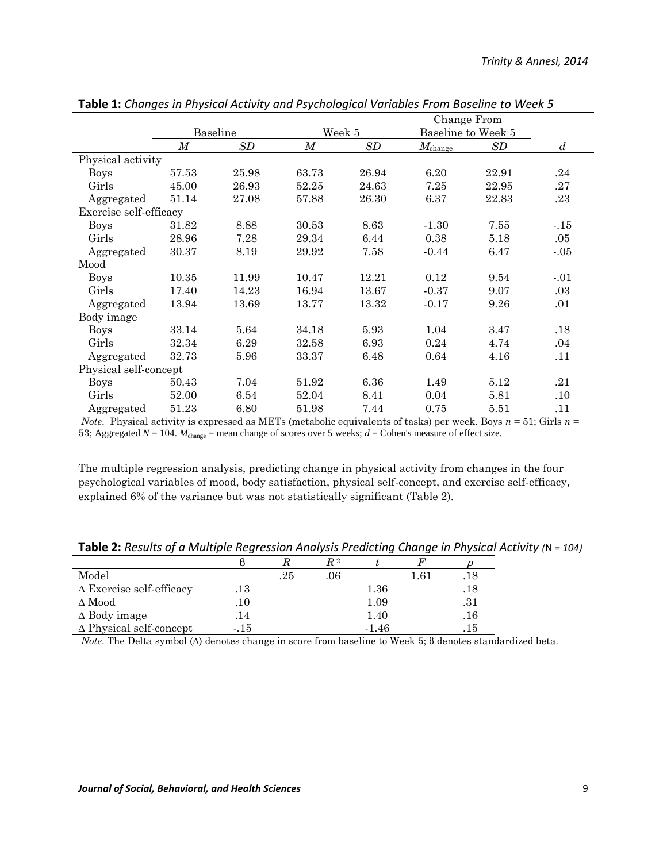|                        | Change From |       |        |       |                    |       |                  |
|------------------------|-------------|-------|--------|-------|--------------------|-------|------------------|
|                        | Baseline    |       | Week 5 |       | Baseline to Week 5 |       |                  |
|                        | М           | SD    | М      | SD    | $M_{\rm change}$   | SD    | $\boldsymbol{d}$ |
| Physical activity      |             |       |        |       |                    |       |                  |
| <b>Boys</b>            | 57.53       | 25.98 | 63.73  | 26.94 | 6.20               | 22.91 | .24              |
| Girls                  | 45.00       | 26.93 | 52.25  | 24.63 | 7.25               | 22.95 | .27              |
| Aggregated             | 51.14       | 27.08 | 57.88  | 26.30 | 6.37               | 22.83 | .23              |
| Exercise self-efficacy |             |       |        |       |                    |       |                  |
| <b>Boys</b>            | 31.82       | 8.88  | 30.53  | 8.63  | $-1.30$            | 7.55  | $-.15$           |
| Girls                  | 28.96       | 7.28  | 29.34  | 6.44  | 0.38               | 5.18  | .05              |
| Aggregated             | 30.37       | 8.19  | 29.92  | 7.58  | $-0.44$            | 6.47  | $-.05$           |
| Mood                   |             |       |        |       |                    |       |                  |
| <b>Boys</b>            | 10.35       | 11.99 | 10.47  | 12.21 | 0.12               | 9.54  | $-.01$           |
| Girls                  | 17.40       | 14.23 | 16.94  | 13.67 | $-0.37$            | 9.07  | .03              |
| Aggregated             | 13.94       | 13.69 | 13.77  | 13.32 | $-0.17$            | 9.26  | .01              |
| Body image             |             |       |        |       |                    |       |                  |
| <b>Boys</b>            | 33.14       | 5.64  | 34.18  | 5.93  | 1.04               | 3.47  | .18              |
| Girls                  | 32.34       | 6.29  | 32.58  | 6.93  | 0.24               | 4.74  | .04              |
| Aggregated             | 32.73       | 5.96  | 33.37  | 6.48  | 0.64               | 4.16  | .11              |
| Physical self-concept  |             |       |        |       |                    |       |                  |
| <b>Boys</b>            | 50.43       | 7.04  | 51.92  | 6.36  | 1.49               | 5.12  | .21              |
| Girls                  | 52.00       | 6.54  | 52.04  | 8.41  | 0.04               | 5.81  | .10              |
| Aggregated             | 51.23       | 6.80  | 51.98  | 7.44  | 0.75               | 5.51  | .11              |

**Table 1:** *Changes in Physical Activity and Psychological Variables From Baseline to Week 5* 

*Note*. Physical activity is expressed as METs (metabolic equivalents of tasks) per week. Boys  $n = 51$ ; Girls  $n =$ 53; Aggregated  $N = 104$ .  $M_{\text{change}} =$  mean change of scores over 5 weeks;  $d =$  Cohen's measure of effect size.

The multiple regression analysis, predicting change in physical activity from changes in the four psychological variables of mood, body satisfaction, physical self-concept, and exercise self-efficacy, explained 6% of the variance but was not statistically significant (Table 2).

**Table 2:** *Results of a Multiple Regression Analysis Predicting Change in Physical Activity (*N *= 104)*

|                                 |      |     | $R\,{}^{2}$ |          |          |     |
|---------------------------------|------|-----|-------------|----------|----------|-----|
| Model                           |      | .25 | .06         |          | $1.61\,$ | .18 |
| $\Delta$ Exercise self-efficacy | .13  |     |             | $1.36\,$ |          | .18 |
| $\Delta \text{Mod}$             | .10  |     |             | 1.09     |          | .31 |
| $\Delta$ Body image             | .14  |     |             | 1.40     |          | .16 |
| $\Delta$ Physical self-concept  | -.15 |     |             | $-1.46$  |          | .15 |

*Note*. The Delta symbol (Δ) denotes change in score from baseline to Week 5; β denotes standardized beta.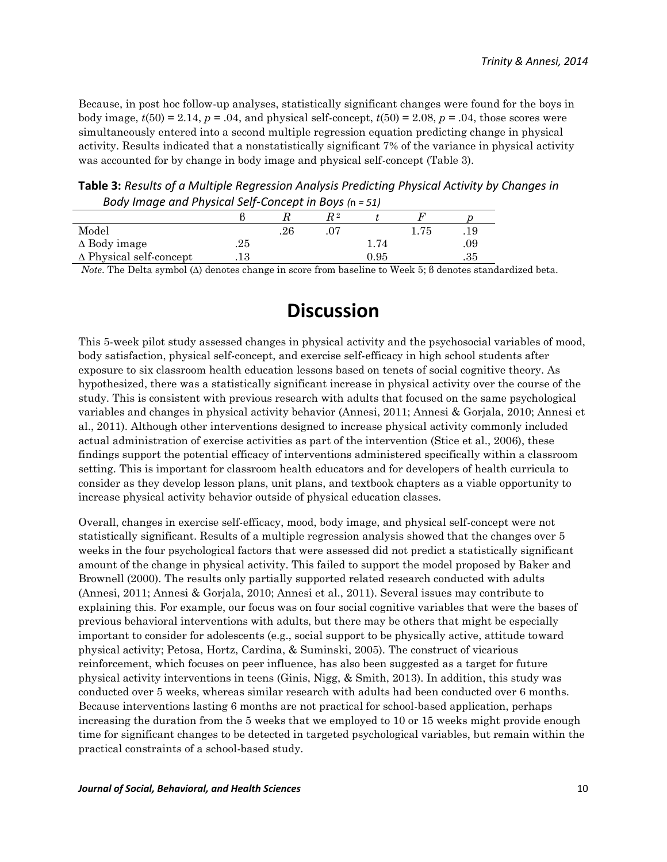Because, in post hoc follow-up analyses, statistically significant changes were found for the boys in body image,  $t(50) = 2.14$ ,  $p = .04$ , and physical self-concept,  $t(50) = 2.08$ ,  $p = .04$ , those scores were simultaneously entered into a second multiple regression equation predicting change in physical activity. Results indicated that a nonstatistically significant 7% of the variance in physical activity was accounted for by change in body image and physical self-concept (Table 3).

**Table 3:** *Results of a Multiple Regression Analysis Predicting Physical Activity by Changes in Body Image and Physical Self-Concept in Boys (*n *= 51)*

| $1000$ $\mu$ $1000$ $\mu$ $1000$ $\mu$ $1000$ $\mu$ $1000$ $\mu$ $1000$ |       |    |  |      |      |     |  |
|-------------------------------------------------------------------------|-------|----|--|------|------|-----|--|
|                                                                         |       |    |  |      |      |     |  |
| Model                                                                   |       | 26 |  |      | 1.75 | .19 |  |
| $\Delta$ Body image                                                     | .25   |    |  | 1.74 |      | 09  |  |
| $\Delta$ Physical self-concept                                          | . I U |    |  | 0.95 |      | .35 |  |

*Note*. The Delta symbol (Δ) denotes change in score from baseline to Week 5; β denotes standardized beta.

## **Discussion**

This 5-week pilot study assessed changes in physical activity and the psychosocial variables of mood, body satisfaction, physical self-concept, and exercise self-efficacy in high school students after exposure to six classroom health education lessons based on tenets of social cognitive theory. As hypothesized, there was a statistically significant increase in physical activity over the course of the study. This is consistent with previous research with adults that focused on the same psychological variables and changes in physical activity behavior (Annesi, 2011; Annesi & Gorjala, 2010; Annesi et al., 2011). Although other interventions designed to increase physical activity commonly included actual administration of exercise activities as part of the intervention (Stice et al., 2006), these findings support the potential efficacy of interventions administered specifically within a classroom setting. This is important for classroom health educators and for developers of health curricula to consider as they develop lesson plans, unit plans, and textbook chapters as a viable opportunity to increase physical activity behavior outside of physical education classes.

Overall, changes in exercise self-efficacy, mood, body image, and physical self-concept were not statistically significant. Results of a multiple regression analysis showed that the changes over 5 weeks in the four psychological factors that were assessed did not predict a statistically significant amount of the change in physical activity. This failed to support the model proposed by Baker and Brownell (2000). The results only partially supported related research conducted with adults (Annesi, 2011; Annesi & Gorjala, 2010; Annesi et al., 2011). Several issues may contribute to explaining this. For example, our focus was on four social cognitive variables that were the bases of previous behavioral interventions with adults, but there may be others that might be especially important to consider for adolescents (e.g., social support to be physically active, attitude toward physical activity; Petosa, Hortz, Cardina, & Suminski, 2005). The construct of vicarious reinforcement, which focuses on peer influence, has also been suggested as a target for future physical activity interventions in teens (Ginis, Nigg, & Smith, 2013). In addition, this study was conducted over 5 weeks, whereas similar research with adults had been conducted over 6 months. Because interventions lasting 6 months are not practical for school-based application, perhaps increasing the duration from the 5 weeks that we employed to 10 or 15 weeks might provide enough time for significant changes to be detected in targeted psychological variables, but remain within the practical constraints of a school-based study.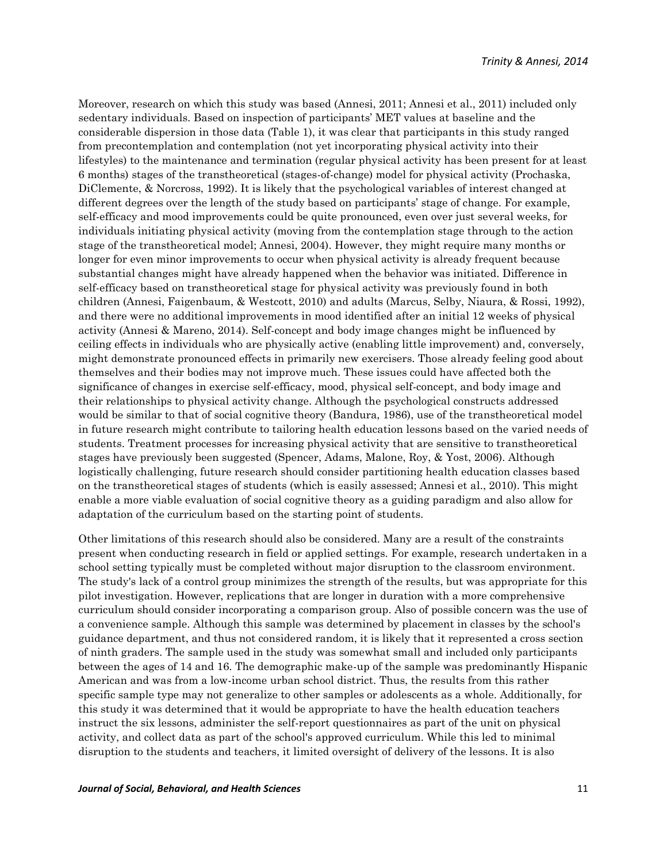Moreover, research on which this study was based (Annesi, 2011; Annesi et al., 2011) included only sedentary individuals. Based on inspection of participants' MET values at baseline and the considerable dispersion in those data (Table 1), it was clear that participants in this study ranged from precontemplation and contemplation (not yet incorporating physical activity into their lifestyles) to the maintenance and termination (regular physical activity has been present for at least 6 months) stages of the transtheoretical (stages-of-change) model for physical activity (Prochaska, DiClemente, & Norcross, 1992). It is likely that the psychological variables of interest changed at different degrees over the length of the study based on participants' stage of change. For example, self-efficacy and mood improvements could be quite pronounced, even over just several weeks, for individuals initiating physical activity (moving from the contemplation stage through to the action stage of the transtheoretical model; Annesi, 2004). However, they might require many months or longer for even minor improvements to occur when physical activity is already frequent because substantial changes might have already happened when the behavior was initiated. Difference in self-efficacy based on transtheoretical stage for physical activity was previously found in both children (Annesi, Faigenbaum, & Westcott, 2010) and adults (Marcus, Selby, Niaura, & Rossi, 1992), and there were no additional improvements in mood identified after an initial 12 weeks of physical activity (Annesi & Mareno, 2014). Self-concept and body image changes might be influenced by ceiling effects in individuals who are physically active (enabling little improvement) and, conversely, might demonstrate pronounced effects in primarily new exercisers. Those already feeling good about themselves and their bodies may not improve much. These issues could have affected both the significance of changes in exercise self-efficacy, mood, physical self-concept, and body image and their relationships to physical activity change. Although the psychological constructs addressed would be similar to that of social cognitive theory (Bandura, 1986), use of the transtheoretical model in future research might contribute to tailoring health education lessons based on the varied needs of students. Treatment processes for increasing physical activity that are sensitive to transtheoretical stages have previously been suggested (Spencer, Adams, Malone, Roy, & Yost, 2006). Although logistically challenging, future research should consider partitioning health education classes based on the transtheoretical stages of students (which is easily assessed; Annesi et al., 2010). This might enable a more viable evaluation of social cognitive theory as a guiding paradigm and also allow for adaptation of the curriculum based on the starting point of students.

Other limitations of this research should also be considered. Many are a result of the constraints present when conducting research in field or applied settings. For example, research undertaken in a school setting typically must be completed without major disruption to the classroom environment. The study's lack of a control group minimizes the strength of the results, but was appropriate for this pilot investigation. However, replications that are longer in duration with a more comprehensive curriculum should consider incorporating a comparison group. Also of possible concern was the use of a convenience sample. Although this sample was determined by placement in classes by the school's guidance department, and thus not considered random, it is likely that it represented a cross section of ninth graders. The sample used in the study was somewhat small and included only participants between the ages of 14 and 16. The demographic make-up of the sample was predominantly Hispanic American and was from a low-income urban school district. Thus, the results from this rather specific sample type may not generalize to other samples or adolescents as a whole. Additionally, for this study it was determined that it would be appropriate to have the health education teachers instruct the six lessons, administer the self-report questionnaires as part of the unit on physical activity, and collect data as part of the school's approved curriculum. While this led to minimal disruption to the students and teachers, it limited oversight of delivery of the lessons. It is also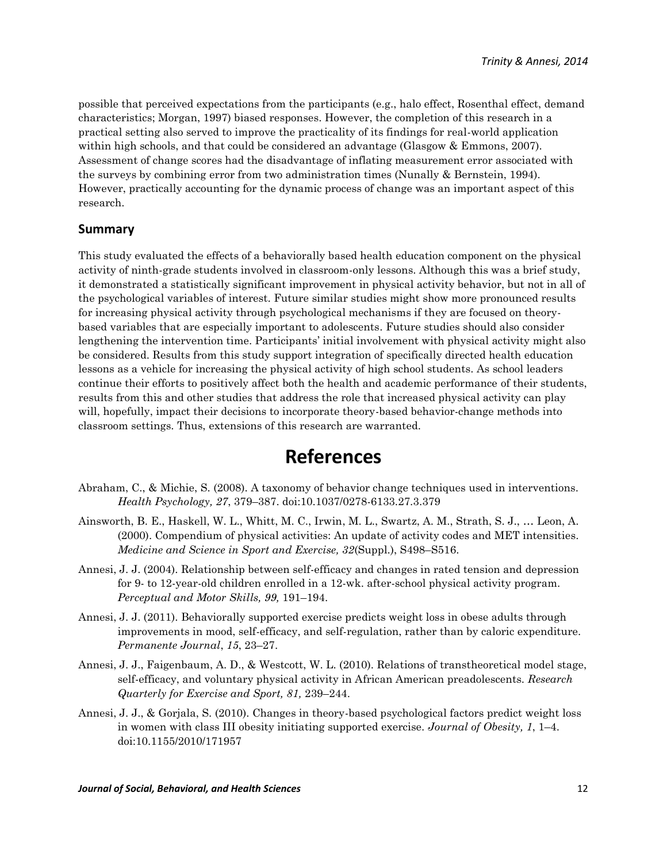possible that perceived expectations from the participants (e.g., halo effect, Rosenthal effect, demand characteristics; Morgan, 1997) biased responses. However, the completion of this research in a practical setting also served to improve the practicality of its findings for real-world application within high schools, and that could be considered an advantage (Glasgow & Emmons, 2007). Assessment of change scores had the disadvantage of inflating measurement error associated with the surveys by combining error from two administration times (Nunally & Bernstein, 1994). However, practically accounting for the dynamic process of change was an important aspect of this research.

#### **Summary**

This study evaluated the effects of a behaviorally based health education component on the physical activity of ninth-grade students involved in classroom-only lessons. Although this was a brief study, it demonstrated a statistically significant improvement in physical activity behavior, but not in all of the psychological variables of interest. Future similar studies might show more pronounced results for increasing physical activity through psychological mechanisms if they are focused on theorybased variables that are especially important to adolescents. Future studies should also consider lengthening the intervention time. Participants' initial involvement with physical activity might also be considered. Results from this study support integration of specifically directed health education lessons as a vehicle for increasing the physical activity of high school students. As school leaders continue their efforts to positively affect both the health and academic performance of their students, results from this and other studies that address the role that increased physical activity can play will, hopefully, impact their decisions to incorporate theory-based behavior-change methods into classroom settings. Thus, extensions of this research are warranted.

### **References**

- Abraham, C., & Michie, S. (2008). A taxonomy of behavior change techniques used in interventions. *Health Psychology, 27*, 379–387. doi:10.1037/0278-6133.27.3.379
- Ainsworth, B. E., Haskell, W. L., Whitt, M. C., Irwin, M. L., Swartz, A. M., Strath, S. J., … Leon, A. (2000). Compendium of physical activities: An update of activity codes and MET intensities. *Medicine and Science in Sport and Exercise, 32*(Suppl.), S498–S516.
- Annesi, J. J. (2004). Relationship between self-efficacy and changes in rated tension and depression for 9- to 12-year-old children enrolled in a 12-wk. after-school physical activity program. *Perceptual and Motor Skills, 99,* 191–194.
- Annesi, J. J. (2011). Behaviorally supported exercise predicts weight loss in obese adults through improvements in mood, self-efficacy, and self-regulation, rather than by caloric expenditure. *Permanente Journal*, *15*, 23–27.
- Annesi, J. J., Faigenbaum, A. D., & Westcott, W. L. (2010). Relations of transtheoretical model stage, self-efficacy, and voluntary physical activity in African American preadolescents. *Research Quarterly for Exercise and Sport, 81,* 239–244.
- Annesi, J. J., & Gorjala, S. (2010). Changes in theory-based psychological factors predict weight loss in women with class III obesity initiating supported exercise. *Journal of Obesity, 1*, 1–4. doi:10.1155/2010/171957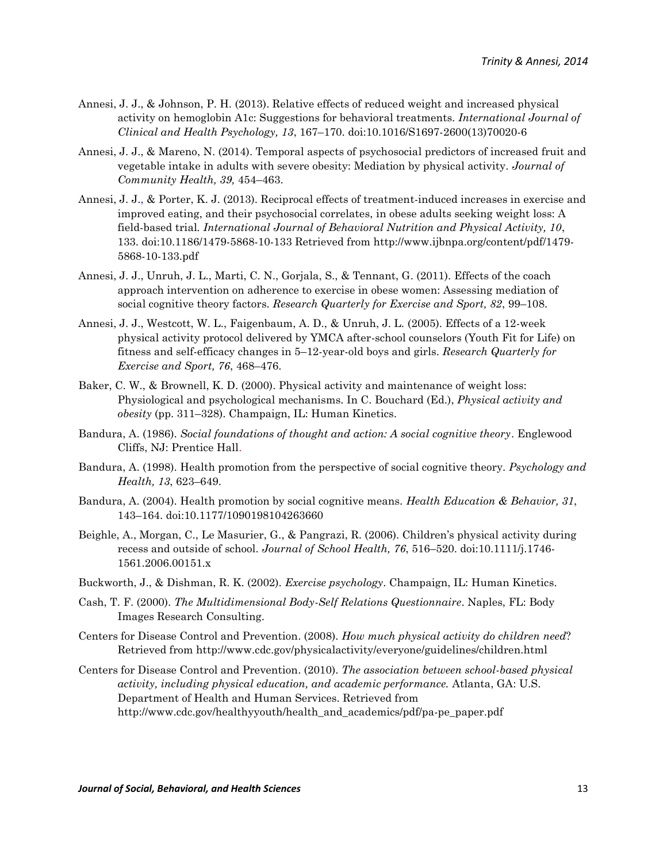- Annesi, J. J., & Johnson, P. H. (2013). Relative effects of reduced weight and increased physical activity on hemoglobin A1c: Suggestions for behavioral treatments. *International Journal of Clinical and Health Psychology, 13*, 167–170. doi:10.1016/S1697-2600(13)70020-6
- Annesi, J. J., & Mareno, N. (2014). Temporal aspects of psychosocial predictors of increased fruit and vegetable intake in adults with severe obesity: Mediation by physical activity. *Journal of Community Health, 39,* 454–463.
- Annesi, J. J., & Porter, K. J. (2013). Reciprocal effects of treatment-induced increases in exercise and improved eating, and their psychosocial correlates, in obese adults seeking weight loss: A field-based trial*. International Journal of Behavioral Nutrition and Physical Activity, 10*, 133. doi:10.1186/1479-5868-10-133 Retrieved from [http://www.ijbnpa.org/content/pdf/1479-](http://www.ijbnpa.org/content/pdf/1479-5868-10-133.pdf) [5868-10-133.pdf](http://www.ijbnpa.org/content/pdf/1479-5868-10-133.pdf)
- Annesi, J. J., Unruh, J. L., Marti, C. N., Gorjala, S., & Tennant, G. (2011). Effects of the coach approach intervention on adherence to exercise in obese women: Assessing mediation of social cognitive theory factors. *Research Quarterly for Exercise and Sport, 82*, 99–108.
- Annesi, J. J., Westcott, W. L., Faigenbaum, A. D., & Unruh, J. L. (2005). Effects of a 12-week physical activity protocol delivered by YMCA after-school counselors (Youth Fit for Life) on fitness and self-efficacy changes in 5–12-year-old boys and girls. *Research Quarterly for Exercise and Sport, 76*, 468–476.
- Baker, C. W., & Brownell, K. D. (2000). Physical activity and maintenance of weight loss: Physiological and psychological mechanisms. In C. Bouchard (Ed.), *Physical activity and obesity* (pp. 311–328). Champaign, IL: Human Kinetics.
- Bandura, A. (1986). *Social foundations of thought and action: A social cognitive theory*. Englewood Cliffs, NJ: Prentice Hall.
- Bandura, A. (1998). Health promotion from the perspective of social cognitive theory. *Psychology and Health, 13*, 623–649.
- Bandura, A. (2004). Health promotion by social cognitive means. *Health Education & Behavior, 31*, 143–164. doi:10.1177/1090198104263660
- Beighle, A., Morgan, C., Le Masurier, G., & Pangrazi, R. (2006). Children's physical activity during recess and outside of school. *Journal of School Health, 76*, 516–520. doi:10.1111/j.1746- 1561.2006.00151.x
- Buckworth, J., & Dishman, R. K. (2002). *Exercise psychology*. Champaign, IL: Human Kinetics.
- Cash, T. F. (2000). *The Multidimensional Body-Self Relations Questionnaire*. Naples, FL: Body Images Research Consulting.
- Centers for Disease Control and Prevention. (2008). *How much physical activity do children need*? Retrieved from<http://www.cdc.gov/physicalactivity/everyone/guidelines/children.html>
- Centers for Disease Control and Prevention. (2010). *The association between school-based physical activity, including physical education, and academic performance.* Atlanta, GA: U.S. Department of Health and Human Services. Retrieved from [http://www.cdc.gov/healthyyouth/health\\_and\\_academics/pdf/pa-pe\\_paper.pdf](http://www.cdc.gov/healthyyouth/health_and_academics/pdf/pa-pe_paper.pdf)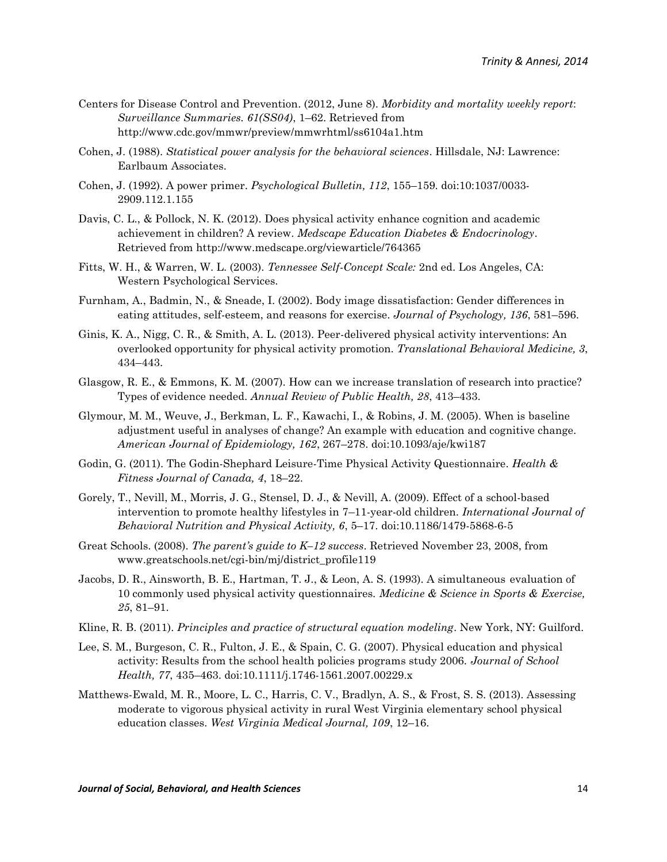- Centers for Disease Control and Prevention. (2012, June 8). *Morbidity and mortality weekly report*: *Surveillance Summaries. 61(SS04)*, 1–62. Retrieved from <http://www.cdc.gov/mmwr/preview/mmwrhtml/ss6104a1.htm>
- Cohen, J. (1988). *Statistical power analysis for the behavioral sciences*. Hillsdale, NJ: Lawrence: Earlbaum Associates.
- Cohen, J. (1992). A power primer. *Psychological Bulletin, 112*, 155–159. doi:10:1037/0033- 2909.112.1.155
- Davis, C. L., & Pollock, N. K. (2012). Does physical activity enhance cognition and academic achievement in children? A review. *Medscape Education Diabetes & Endocrinology*. Retrieved from<http://www.medscape.org/viewarticle/764365>
- Fitts, W. H., & Warren, W. L. (2003). *Tennessee Self-Concept Scale:* 2nd ed. Los Angeles, CA: Western Psychological Services.
- Furnham, A., Badmin, N., & Sneade, I. (2002). Body image dissatisfaction: Gender differences in eating attitudes, self-esteem, and reasons for exercise. *Journal of Psychology, 136*, 581–596.
- Ginis, K. A., Nigg, C. R., & Smith, A. L. (2013). Peer-delivered physical activity interventions: An overlooked opportunity for physical activity promotion. *Translational Behavioral Medicine, 3*, 434–443.
- Glasgow, R. E., & Emmons, K. M. (2007). How can we increase translation of research into practice? Types of evidence needed. *Annual Review of Public Health, 28*, 413–433.
- Glymour, M. M., Weuve, J., Berkman, L. F., Kawachi, I., & Robins, J. M. (2005). When is baseline adjustment useful in analyses of change? An example with education and cognitive change. *American Journal of Epidemiology, 162*, 267–278. doi:10.1093/aje/kwi187
- Godin, G. (2011). The Godin-Shephard Leisure-Time Physical Activity Questionnaire. *Health & Fitness Journal of Canada, 4*, 18–22.
- Gorely, T., Nevill, M., Morris, J. G., Stensel, D. J., & Nevill, A. (2009). Effect of a school-based intervention to promote healthy lifestyles in 7–11-year-old children. *International Journal of Behavioral Nutrition and Physical Activity, 6*, 5–17. doi:10.1186/1479-5868-6-5
- Great Schools. (2008). *The parent's guide to K–12 success*. Retrieved November 23, 2008, from [www.greatschools.net/cgi-bin/mj/district\\_profile119](www.greatschools.net/cgi-bin/mj/district_profile119)
- Jacobs, D. R., Ainsworth, B. E., Hartman, T. J., & Leon, A. S. (1993). A simultaneous evaluation of 10 commonly used physical activity questionnaires. *Medicine & Science in Sports & Exercise, 25*, 81–91.
- Kline, R. B. (2011). *Principles and practice of structural equation modeling*. New York, NY: Guilford.
- Lee, S. M., Burgeson, C. R., Fulton, J. E., & Spain, C. G. (2007). Physical education and physical activity: Results from the school health policies programs study 2006. *Journal of School Health, 77*, 435–463. doi:10.1111/j.1746-1561.2007.00229.x
- Matthews-Ewald, M. R., Moore, L. C., Harris, C. V., Bradlyn, A. S., & Frost, S. S. (2013). Assessing moderate to vigorous physical activity in rural West Virginia elementary school physical education classes. *West Virginia Medical Journal, 109*, 12–16.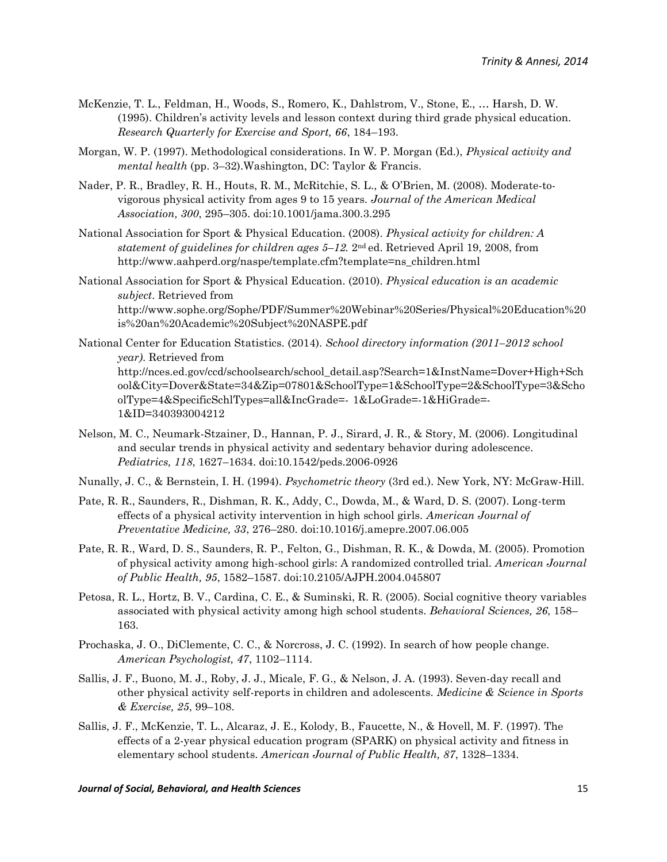- McKenzie, T. L., Feldman, H., Woods, S., Romero, K., Dahlstrom, V., Stone, E., … Harsh, D. W. (1995). Children's activity levels and lesson context during third grade physical education. *Research Quarterly for Exercise and Sport, 66*, 184–193.
- Morgan, W. P. (1997). Methodological considerations. In W. P. Morgan (Ed.), *Physical activity and mental health* (pp. 3–32).Washington, DC: Taylor & Francis.
- Nader, P. R., Bradley, R. H., Houts, R. M., McRitchie, S. L., & O'Brien, M. (2008). Moderate-tovigorous physical activity from ages 9 to 15 years. *Journal of the American Medical Association, 300*, 295–305. doi:10.1001/jama.300.3.295
- National Association for Sport & Physical Education. (2008). *Physical activity for children: A statement of guidelines for children ages 5–12.* 2nd ed. Retrieved April 19, 2008, from http://www.aahperd.org/naspe/template.cfm?template=ns\_children.html
- National Association for Sport & Physical Education. (2010). *Physical education is an academic subject*. Retrieved from [http://www.sophe.org/Sophe/PDF/Summer%20Webinar%20Series/Physical%20Education%20](http://www.sophe.org/Sophe/PDF/Summer%20Webinar%20Series/Physical%20Education%20is%20an%20Academic%20Subject%20NASPE.pdf) [is%20an%20Academic%20Subject%20NASPE.pdf](http://www.sophe.org/Sophe/PDF/Summer%20Webinar%20Series/Physical%20Education%20is%20an%20Academic%20Subject%20NASPE.pdf)
- National Center for Education Statistics. (2014). *School directory information (2011–2012 school year)*. Retrieved from [http://nces.ed.gov/ccd/schoolsearch/school\\_detail.asp?Search=1&InstName=Dover+High+Sch](http://nces.ed.gov/ccd/schoolsearch/school_detail.asp?Search=1&InstName=Dover+High+School&City=Dover&State=34&Zip=07801&SchoolType=1&SchoolType=2&SchoolType=3&SchoolType=4&SpecificSchlTypes=all&IncGrade=-%091&LoGrade=-1&HiGrade=-1&ID=340393004212) [ool&City=Dover&State=34&Zip=07801&SchoolType=1&SchoolType=2&SchoolType=3&Scho](http://nces.ed.gov/ccd/schoolsearch/school_detail.asp?Search=1&InstName=Dover+High+School&City=Dover&State=34&Zip=07801&SchoolType=1&SchoolType=2&SchoolType=3&SchoolType=4&SpecificSchlTypes=all&IncGrade=-%091&LoGrade=-1&HiGrade=-1&ID=340393004212) [olType=4&SpecificSchlTypes=all&IncGrade=-](http://nces.ed.gov/ccd/schoolsearch/school_detail.asp?Search=1&InstName=Dover+High+School&City=Dover&State=34&Zip=07801&SchoolType=1&SchoolType=2&SchoolType=3&SchoolType=4&SpecificSchlTypes=all&IncGrade=-%091&LoGrade=-1&HiGrade=-1&ID=340393004212) 1&LoGrade=-1&HiGrade=- [1&ID=340393004212](http://nces.ed.gov/ccd/schoolsearch/school_detail.asp?Search=1&InstName=Dover+High+School&City=Dover&State=34&Zip=07801&SchoolType=1&SchoolType=2&SchoolType=3&SchoolType=4&SpecificSchlTypes=all&IncGrade=-%091&LoGrade=-1&HiGrade=-1&ID=340393004212)
- Nelson, M. C., Neumark-Stzainer, D., Hannan, P. J., Sirard, J. R., & Story, M. (2006). Longitudinal and secular trends in physical activity and sedentary behavior during adolescence. *Pediatrics, 118*, 1627–1634. doi:10.1542/peds.2006-0926
- Nunally, J. C., & Bernstein, I. H. (1994). *Psychometric theory* (3rd ed.). New York, NY: McGraw-Hill.
- Pate, R. R., Saunders, R., Dishman, R. K., Addy, C., Dowda, M., & Ward, D. S. (2007). Long-term effects of a physical activity intervention in high school girls. *American Journal of Preventative Medicine, 33*, 276–280. doi:10.1016/j.amepre.2007.06.005
- Pate, R. R., Ward, D. S., Saunders, R. P., Felton, G., Dishman, R. K., & Dowda, M. (2005). Promotion of physical activity among high-school girls: A randomized controlled trial. *American Journal of Public Health, 95*, 1582–1587. doi[:10.2105/AJPH.2004.045807](http://dx.crossref.org/10.2105%2FAJPH.2004.045807)
- Petosa, R. L., Hortz, B. V., Cardina, C. E., & Suminski, R. R. (2005). Social cognitive theory variables associated with physical activity among high school students. *Behavioral Sciences, 26*, 158– 163.
- Prochaska, J. O., DiClemente, C. C., & Norcross, J. C. (1992). In search of how people change. *American Psychologist, 47*, 1102–1114.
- Sallis, J. F., Buono, M. J., Roby, J. J., Micale, F. G., & Nelson, J. A. (1993). Seven-day recall and other physical activity self-reports in children and adolescents. *Medicine & Science in Sports & Exercise, 25*, 99–108.
- Sallis, J. F., McKenzie, T. L., Alcaraz, J. E., Kolody, B., Faucette, N., & Hovell, M. F. (1997). The effects of a 2-year physical education program (SPARK) on physical activity and fitness in elementary school students. *American Journal of Public Health, 87*, 1328–1334.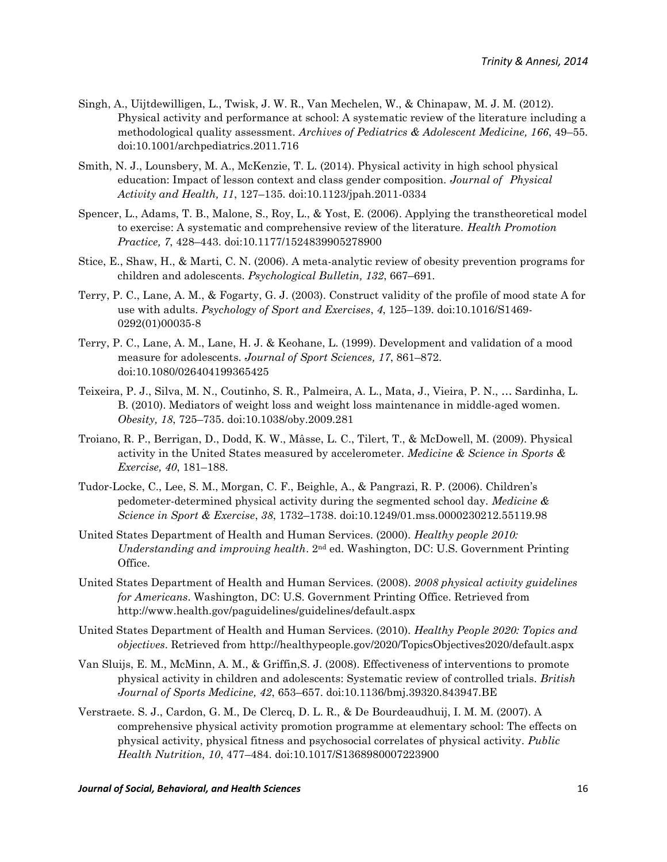- Singh, A., Uijtdewilligen, L., Twisk, J. W. R., Van Mechelen, W., & Chinapaw, M. J. M. (2012). Physical activity and performance at school: A systematic review of the literature including a methodological quality assessment. *Archives of Pediatrics & Adolescent Medicine, 166*, 49–55. doi:10.1001/archpediatrics.2011.716
- Smith, N. J., Lounsbery, M. A., McKenzie, T. L. (2014). Physical activity in high school physical education: Impact of lesson context and class gender composition. *Journal of Physical Activity and Health, 11*, 127–135. doi:10.1123/jpah.2011-0334
- Spencer, L., Adams, T. B., Malone, S., Roy, L., & Yost, E. (2006). Applying the transtheoretical model to exercise: A systematic and comprehensive review of the literature. *Health Promotion Practice, 7*, 428–443. doi:10.1177/1524839905278900
- Stice, E., Shaw, H., & Marti, C. N. (2006). A meta-analytic review of obesity prevention programs for children and adolescents. *Psychological Bulletin, 132*, 667–691.
- Terry, P. C., Lane, A. M., & Fogarty, G. J. (2003). Construct validity of the profile of mood state A for use with adults. *Psychology of Sport and Exercises*, *4*, 125–139. doi[:10.1016/S1469-](http://dx.doi.org/10.1016/S1469-0292(01)00035-8) [0292\(01\)00035-8](http://dx.doi.org/10.1016/S1469-0292(01)00035-8)
- Terry, P. C., Lane, A. M., Lane, H. J. & Keohane, L. (1999). Development and validation of a mood measure for adolescents. *Journal of Sport Sciences, 17*, 861–872. doi:10.1080/026404199365425
- Teixeira, P. J., Silva, M. N., Coutinho, S. R., Palmeira, A. L., Mata, J., Vieira, P. N., … Sardinha, L. B. (2010). Mediators of weight loss and weight loss maintenance in middle-aged women. *Obesity, 18*, 725–735. doi:10.1038/oby.2009.281
- Troiano, R. P., Berrigan, D., Dodd, K. W., Mâsse, L. C., Tilert, T., & McDowell, M. (2009). Physical activity in the United States measured by accelerometer. *Medicine & Science in Sports & Exercise, 40*, 181–188.
- Tudor-Locke, C., Lee, S. M., Morgan, C. F., Beighle, A., & Pangrazi, R. P. (2006). Children's pedometer-determined physical activity during the segmented school day. *Medicine & Science in Sport & Exercise*, *38*, 1732–1738. doi:10.1249/01.mss.0000230212.55119.98
- United States Department of Health and Human Services. (2000). *Healthy people 2010: Understanding and improving health*. 2nd ed. Washington, DC: U.S. Government Printing Office.
- United States Department of Health and Human Services. (2008). *2008 physical activity guidelines for Americans*. Washington, DC: U.S. Government Printing Office. Retrieved from http://www.health.gov/paguidelines/guidelines/default.aspx
- United States Department of Health and Human Services. (2010). *Healthy People 2020: Topics and objectives*. Retrieved from http://healthypeople.gov/2020/TopicsObjectives2020/default.aspx
- Van Sluijs, E. M., McMinn, A. M., & Griffin,S. J. (2008). Effectiveness of interventions to promote physical activity in children and adolescents: Systematic review of controlled trials. *British Journal of Sports Medicine, 42*, 653–657. doi:10.1136/bmj.39320.843947.BE
- Verstraete. S. J., Cardon, G. M., De Clercq, D. L. R., & De Bourdeaudhuij, I. M. M. (2007). A comprehensive physical activity promotion programme at elementary school: The effects on physical activity, physical fitness and psychosocial correlates of physical activity. *Public Health Nutrition, 10*, 477–484. doi:10.1017/S1368980007223900